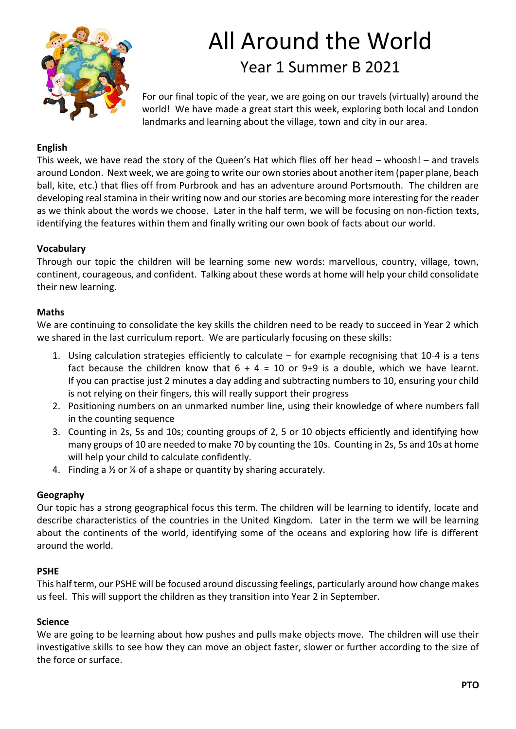

# All Around the World Year 1 Summer B 2021

For our final topic of the year, we are going on our travels (virtually) around the world! We have made a great start this week, exploring both local and London landmarks and learning about the village, town and city in our area.

# **English**

This week, we have read the story of the Queen's Hat which flies off her head – whoosh! – and travels around London. Next week, we are going to write our own stories about another item (paper plane, beach ball, kite, etc.) that flies off from Purbrook and has an adventure around Portsmouth. The children are developing real stamina in their writing now and our stories are becoming more interesting for the reader as we think about the words we choose. Later in the half term, we will be focusing on non-fiction texts, identifying the features within them and finally writing our own book of facts about our world.

## **Vocabulary**

Through our topic the children will be learning some new words: marvellous, country, village, town, continent, courageous, and confident. Talking about these words at home will help your child consolidate their new learning.

## **Maths**

We are continuing to consolidate the key skills the children need to be ready to succeed in Year 2 which we shared in the last curriculum report. We are particularly focusing on these skills:

- 1. Using calculation strategies efficiently to calculate for example recognising that 10-4 is a tens fact because the children know that  $6 + 4 = 10$  or 9+9 is a double, which we have learnt. If you can practise just 2 minutes a day adding and subtracting numbers to 10, ensuring your child is not relying on their fingers, this will really support their progress
- 2. Positioning numbers on an unmarked number line, using their knowledge of where numbers fall in the counting sequence
- 3. Counting in 2s, 5s and 10s; counting groups of 2, 5 or 10 objects efficiently and identifying how many groups of 10 are needed to make 70 by counting the 10s. Counting in 2s, 5s and 10s at home will help your child to calculate confidently.
- 4. Finding a ½ or ¼ of a shape or quantity by sharing accurately.

#### **Geography**

Our topic has a strong geographical focus this term. The children will be learning to identify, locate and describe characteristics of the countries in the United Kingdom. Later in the term we will be learning about the continents of the world, identifying some of the oceans and exploring how life is different around the world.

#### **PSHE**

This half term, our PSHE will be focused around discussing feelings, particularly around how change makes us feel. This will support the children as they transition into Year 2 in September.

#### **Science**

We are going to be learning about how pushes and pulls make objects move. The children will use their investigative skills to see how they can move an object faster, slower or further according to the size of the force or surface.